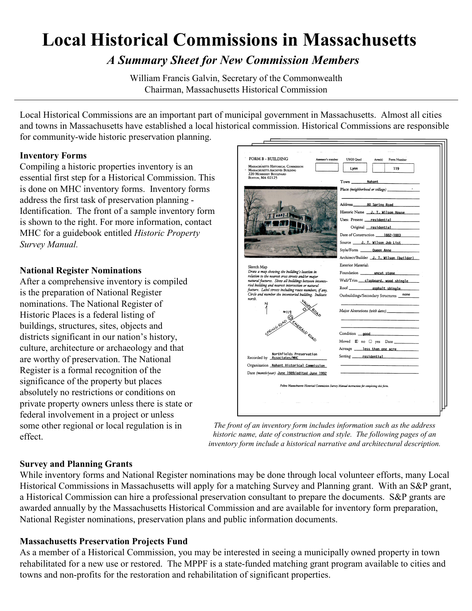# **Local Historical Commissions in Massachusetts**

*A Summary Sheet for New Commission Members*

William Francis Galvin, Secretary of the Commonwealth Chairman, Massachusetts Historical Commission

Local Historical Commissions are an important part of municipal government in Massachusetts. Almost all cities and towns in Massachusetts have established a local historical commission. Historical Commissions are responsible for community-wide historic preservation planning.

#### **Inventory Forms**

Compiling a historic properties inventory is an essential first step for a Historical Commission. This is done on MHC inventory forms. Inventory forms address the first task of preservation planning - Identification. The front of a sample inventory form is shown to the right. For more information, contact MHC for a guidebook entitled *Historic Property Survey Manual.*

#### **National Register Nominations**

After a comprehensive inventory is compiled is the preparation of National Register nominations. The National Register of Historic Places is a federal listing of buildings, structures, sites, objects and districts significant in our nation's history, culture, architecture or archaeology and that are worthy of preservation. The National Register is a formal recognition of the significance of the property but places absolutely no restrictions or conditions on private property owners unless there is state or federal involvement in a project or unless some other regional or local regulation is in effect.

| FORM B - BUILDING<br>Assessor's number                                                                                              | <b>USGS Quad</b><br>Area(s)<br>Form Number                                                      |
|-------------------------------------------------------------------------------------------------------------------------------------|-------------------------------------------------------------------------------------------------|
| MASSACHUSETTS HISTORICAL COMMISSION<br><b>MASSACHUSETTS ARCHIVES BUILDING</b><br><b>220 MORRISSEY BOULEVARD</b><br>BOSTON, MA 02125 | Lynn<br>119                                                                                     |
|                                                                                                                                     | Town Nahant                                                                                     |
|                                                                                                                                     | Place (neighborhood or village)                                                                 |
|                                                                                                                                     |                                                                                                 |
|                                                                                                                                     | Historic Name __ J. T. Wilson House                                                             |
|                                                                                                                                     | Uses: Present __ residential                                                                    |
|                                                                                                                                     | Original residential                                                                            |
|                                                                                                                                     | Date of Construction 1882-1883                                                                  |
|                                                                                                                                     | Source _____ J. T. Wilson Job List                                                              |
|                                                                                                                                     | Style/Form _______ Queen Anne                                                                   |
|                                                                                                                                     | Architect/Builder J. T. Wilson (builder)                                                        |
| Sketch Map                                                                                                                          | <b>Exterior Material:</b>                                                                       |
| Draw a map showing the building's location in<br>relation to the nearest cross streets and/or major                                 | Foundation ________ uncut_stone                                                                 |
| natural features. Show all buildings between invento-                                                                               | Wall/Trim __ clapboard, wood shingle                                                            |
| ried building and nearest intersection or natural<br>feature. Label streets including route numbers, if any.                        |                                                                                                 |
| Circle and number the inventoried building. Indicate<br>north.                                                                      | none<br>Outbuildings/Secondary Structures                                                       |
| #119<br>I am to general Etterator Band                                                                                              |                                                                                                 |
|                                                                                                                                     | Major Alterations (with dates)                                                                  |
|                                                                                                                                     |                                                                                                 |
|                                                                                                                                     |                                                                                                 |
|                                                                                                                                     | Condition good                                                                                  |
|                                                                                                                                     |                                                                                                 |
|                                                                                                                                     | Acreage less than one acre                                                                      |
| Northfields Preservation<br>Recorded by <b>Associates/MHC</b>                                                                       | Setting <u>residential</u>                                                                      |
| Organization Nahant Historical Commission                                                                                           |                                                                                                 |
| Date (month/year) June 1989/edited June 1992                                                                                        |                                                                                                 |
|                                                                                                                                     |                                                                                                 |
|                                                                                                                                     | Follow Massachusetts Historical Commission Survey Manual instructions for completing this form. |
|                                                                                                                                     |                                                                                                 |
|                                                                                                                                     |                                                                                                 |

*The front of an inventory form includes information such as the address historic name, date of construction and style. The following pages of an inventory form include a historical narrative and architectural description.* 

#### **Survey and Planning Grants**

While inventory forms and National Register nominations may be done through local volunteer efforts, many Local Historical Commissions in Massachusetts will apply for a matching Survey and Planning grant. With an S&P grant, a Historical Commission can hire a professional preservation consultant to prepare the documents. S&P grants are awarded annually by the Massachusetts Historical Commission and are available for inventory form preparation, National Register nominations, preservation plans and public information documents.

#### **Massachusetts Preservation Projects Fund**

As a member of a Historical Commission, you may be interested in seeing a municipally owned property in town rehabilitated for a new use or restored. The MPPF is a state-funded matching grant program available to cities and towns and non-profits for the restoration and rehabilitation of significant properties.